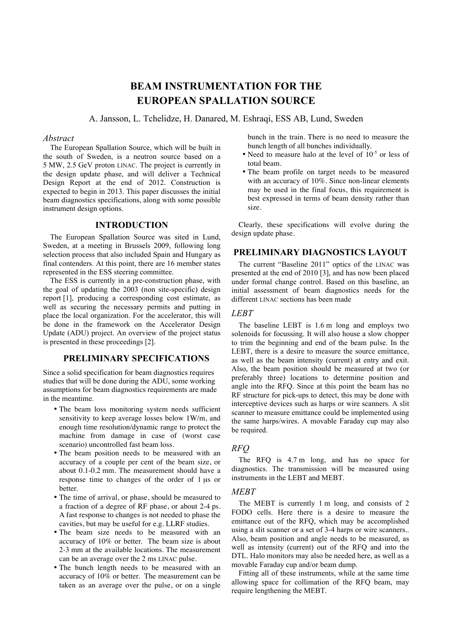# **BEAM INSTRUMENTATION FOR THE EUROPEAN SPALLATION SOURCE**

A. Jansson, L. Tchelidze, H. Danared, M. Eshraqi, ESS AB, Lund, Sweden

## *Abstract*

The European Spallation Source, which will be built in the south of Sweden, is a neutron source based on a 5 MW, 2.5 GeV proton LINAC. The project is currently in the design update phase, and will deliver a Technical Design Report at the end of 2012. Construction is expected to begin in 2013. This paper discusses the initial beam diagnostics specifications, along with some possible instrument design options.

# **INTRODUCTION**

The European Spallation Source was sited in Lund, Sweden, at a meeting in Brussels 2009, following long selection process that also included Spain and Hungary as final contenders. At this point, there are 16 member states represented in the ESS steering committee.

The ESS is currently in a pre-construction phase, with the goal of updating the 2003 (non site-specific) design report [1], producing a corresponding cost estimate, as well as securing the necessary permits and putting in place the local organization. For the accelerator, this will be done in the framework on the Accelerator Design Update (ADU) project. An overview of the project status is presented in these proceedings [2].

# **PRELIMINARY SPECIFICATIONS**

Since a solid specification for beam diagnostics requires studies that will be done during the ADU, some working assumptions for beam diagnostics requirements are made in the meantime.

- The beam loss monitoring system needs sufficient sensitivity to keep average losses below 1W/m, and enough time resolution/dynamic range to protect the machine from damage in case of (worst case scenario) uncontrolled fast beam loss.
- The beam position needs to be measured with an accuracy of a couple per cent of the beam size, or about 0.1-0.2 mm. The measurement should have a response time to changes of the order of 1 µs or better.
- The time of arrival, or phase, should be measured to a fraction of a degree of RF phase, or about 2-4 ps. A fast response to changes is not needed to phase the cavities, but may be useful for e.g. LLRF studies.
- The beam size needs to be measured with an accuracy of 10% or better. The beam size is about 2-3 mm at the available locations. The measurement can be an average over the 2 ms LINAC pulse.
- The bunch length needs to be measured with an accuracy of 10% or better. The measurement can be taken as an average over the pulse, or on a single

bunch in the train. There is no need to measure the bunch length of all bunches individually.

- Need to measure halo at the level of  $10^{-5}$  or less of total beam.
- The beam profile on target needs to be measured with an accuracy of 10%. Since non-linear elements may be used in the final focus, this requirement is best expressed in terms of beam density rather than size.

Clearly, these specifications will evolve during the design update phase.

# **PRELIMINARY DIAGNOSTICS LAYOUT**

The current "Baseline 2011" optics of the LINAC was presented at the end of 2010 [3], and has now been placed under formal change control. Based on this baseline, an initial assessment of beam diagnostics needs for the different LINAC sections has been made

# *LEBT*

The baseline LEBT is 1.6 m long and employs two solenoids for focussing. It will also house a slow chopper to trim the beginning and end of the beam pulse. In the LEBT, there is a desire to measure the source emittance, as well as the beam intensity (current) at entry and exit. Also, the beam position should be measured at two (or preferably three) locations to determine position and angle into the RFQ. Since at this point the beam has no RF structure for pick-ups to detect, this may be done with interceptive devices such as harps or wire scanners. A slit scanner to measure emittance could be implemented using the same harps/wires. A movable Faraday cup may also be required.

# *RFQ*

The RFQ is 4.7 m long, and has no space for diagnostics. The transmission will be measured using instruments in the LEBT and MEBT.

#### *MEBT*

The MEBT is currently 1 m long, and consists of 2 FODO cells. Here there is a desire to measure the emittance out of the RFQ, which may be accomplished using a slit scanner or a set of 3-4 harps or wire scanners.. Also, beam position and angle needs to be measured, as well as intensity (current) out of the RFQ and into the DTL. Halo monitors may also be needed here, as well as a movable Faraday cup and/or beam dump.

Fitting all of these instruments, while at the same time allowing space for collimation of the RFQ beam, may require lengthening the MEBT.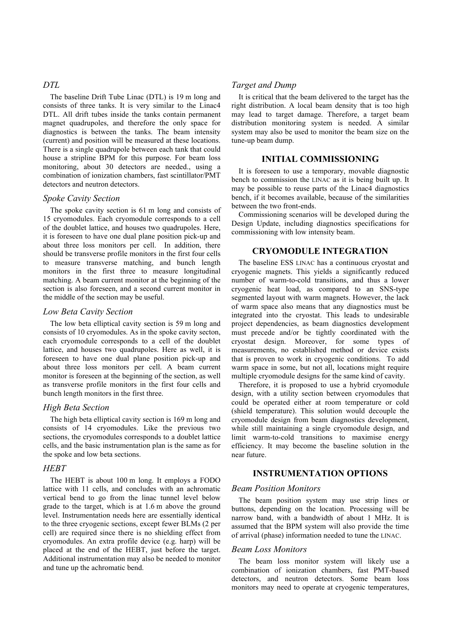# *DTL*

The baseline Drift Tube Linac (DTL) is 19 m long and consists of three tanks. It is very similar to the Linac4 DTL. All drift tubes inside the tanks contain permanent magnet quadrupoles, and therefore the only space for diagnostics is between the tanks. The beam intensity (current) and position will be measured at these locations. There is a single quadrupole between each tank that could house a stripline BPM for this purpose. For beam loss monitoring, about 30 detectors are needed., using a combination of ionization chambers, fast scintillator/PMT detectors and neutron detectors.

## *Spoke Cavity Section*

The spoke cavity section is 61 m long and consists of 15 cryomodules. Each cryomodule corresponds to a cell of the doublet lattice, and houses two quadrupoles. Here, it is foreseen to have one dual plane position pick-up and about three loss monitors per cell. In addition, there should be transverse profile monitors in the first four cells to measure transverse matching, and bunch length monitors in the first three to measure longitudinal matching. A beam current monitor at the beginning of the section is also foreseen, and a second current monitor in the middle of the section may be useful.

#### *Low Beta Cavity Section*

The low beta elliptical cavity section is 59 m long and consists of 10 cryomodules. As in the spoke cavity secton, each cryomodule corresponds to a cell of the doublet lattice, and houses two quadrupoles. Here as well, it is foreseen to have one dual plane position pick-up and about three loss monitors per cell. A beam current monitor is foreseen at the beginning of the section, as well as transverse profile monitors in the first four cells and bunch length monitors in the first three.

#### *High Beta Section*

The high beta elliptical cavity section is 169 m long and consists of 14 cryomodules. Like the previous two sections, the cryomodules corresponds to a doublet lattice cells, and the basic instrumentation plan is the same as for the spoke and low beta sections.

# *HEBT*

The HEBT is about 100 m long. It employs a FODO lattice with 11 cells, and concludes with an achromatic vertical bend to go from the linac tunnel level below grade to the target, which is at 1.6 m above the ground level. Instrumentation needs here are essentially identical to the three cryogenic sections, except fewer BLMs (2 per cell) are required since there is no shielding effect from cryomodules. An extra profile device (e.g. harp) will be placed at the end of the HEBT, just before the target. Additional instrumentation may also be needed to monitor and tune up the achromatic bend.

#### *Target and Dump*

It is critical that the beam delivered to the target has the right distribution. A local beam density that is too high may lead to target damage. Therefore, a target beam distribution monitoring system is needed. A similar system may also be used to monitor the beam size on the tune-up beam dump.

## **INITIAL COMMISSIONING**

It is foreseen to use a temporary, movable diagnostic bench to commission the LINAC as it is being built up. It may be possible to reuse parts of the Linac4 diagnostics bench, if it becomes available, because of the similarities between the two front-ends.

Commissioning scenarios will be developed during the Design Update, including diagnostics specifications for commissioning with low intensity beam.

#### **CRYOMODULE INTEGRATION**

The baseline ESS LINAC has a continuous cryostat and cryogenic magnets. This yields a significantly reduced number of warm-to-cold transitions, and thus a lower cryogenic heat load, as compared to an SNS-type segmented layout with warm magnets. However, the lack of warm space also means that any diagnostics must be integrated into the cryostat. This leads to undesirable project dependencies, as beam diagnostics development must precede and/or be tightly coordinated with the cryostat design. Moreover, for some types of measurements, no established method or device exists that is proven to work in cryogenic conditions. To add warm space in some, but not all, locations might require multiple cryomodule designs for the same kind of cavity.

Therefore, it is proposed to use a hybrid cryomodule design, with a utility section between cryomodules that could be operated either at room temperature or cold (shield temperature). This solution would decouple the cryomodule design from beam diagnostics development, while still maintaining a single cryomodule design, and limit warm-to-cold transitions to maximise energy efficiency. It may become the baseline solution in the near future.

# **INSTRUMENTATION OPTIONS**

#### *Beam Position Monitors*

The beam position system may use strip lines or buttons, depending on the location. Processing will be narrow band, with a bandwidth of about 1 MHz. It is assumed that the BPM system will also provide the time of arrival (phase) information needed to tune the LINAC.

#### *Beam Loss Monitors*

The beam loss monitor system will likely use a combination of ionization chambers, fast PMT-based detectors, and neutron detectors. Some beam loss monitors may need to operate at cryogenic temperatures,